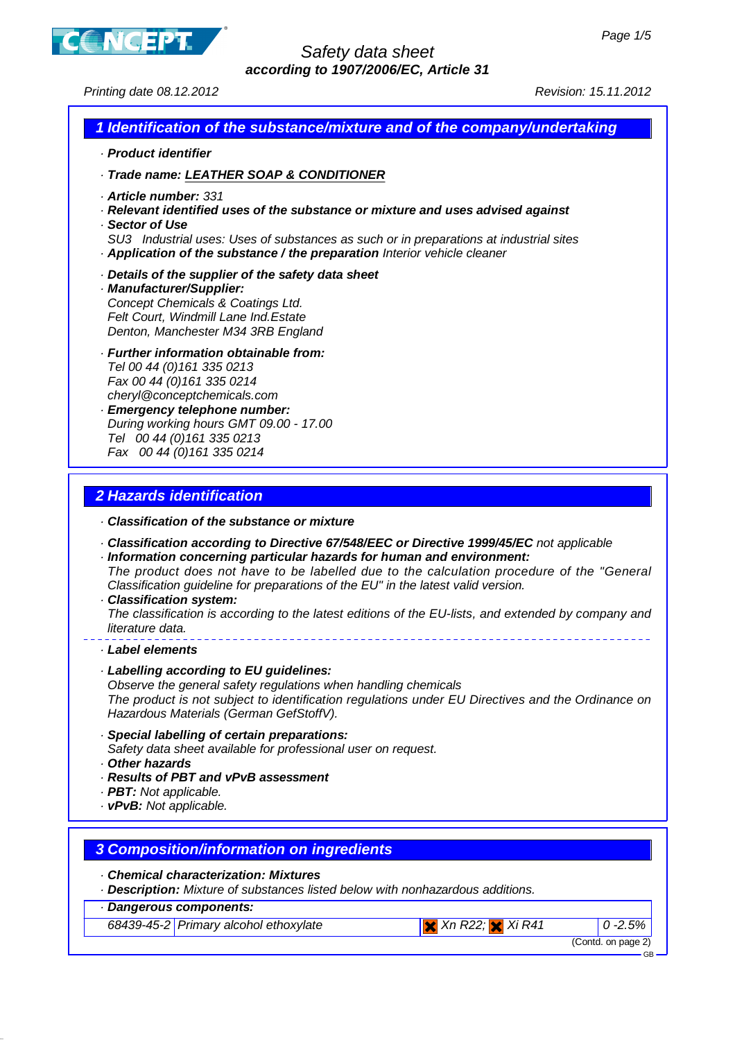

## Safety data sheet **according to 1907/2006/EC, Article 31**

Printing date 08.12.2012 Revision: 15.11.2012

#### **1 Identification of the substance/mixture and of the company/undertaking**

- · **Product identifier**
- · **Trade name: LEATHER SOAP & CONDITIONER**
- · **Article number:** 331
- · **Relevant identified uses of the substance or mixture and uses advised against**
- · **Sector of Use**
- SU3 Industrial uses: Uses of substances as such or in preparations at industrial sites · **Application of the substance / the preparation** Interior vehicle cleaner
- · **Details of the supplier of the safety data sheet**
- · **Manufacturer/Supplier:** Concept Chemicals & Coatings Ltd. Felt Court, Windmill Lane Ind.Estate Denton, Manchester M34 3RB England
- · **Further information obtainable from:** Tel 00 44 (0)161 335 0213 Fax 00 44 (0)161 335 0214 cheryl@conceptchemicals.com · **Emergency telephone number:**
- During working hours GMT 09.00 17.00 Tel 00 44 (0)161 335 0213 Fax 00 44 (0)161 335 0214

# **2 Hazards identification**

- · **Classification of the substance or mixture**
- · **Classification according to Directive 67/548/EEC or Directive 1999/45/EC** not applicable
- · **Information concerning particular hazards for human and environment:** The product does not have to be labelled due to the calculation procedure of the "General Classification guideline for preparations of the EU" in the latest valid version.
- · **Classification system:**

The classification is according to the latest editions of the EU-lists, and extended by company and literature data.

- · **Label elements**
- · **Labelling according to EU guidelines:**

Observe the general safety regulations when handling chemicals The product is not subject to identification regulations under EU Directives and the Ordinance on Hazardous Materials (German GefStoffV).

- · **Special labelling of certain preparations:**
- Safety data sheet available for professional user on request.
- · **Other hazards**
- · **Results of PBT and vPvB assessment**
- · **PBT:** Not applicable.
- · **vPvB:** Not applicable.

## **3 Composition/information on ingredients**

- · **Chemical characterization: Mixtures**
- · **Description:** Mixture of substances listed below with nonhazardous additions.
- · **Dangerous components:**
	- 68439-45-2 Primary alcohol ethoxylate  $\overline{X}$  Xn R22;  $\overline{X}$  Xi R41 0 -2.5%

(Contd. on page 2)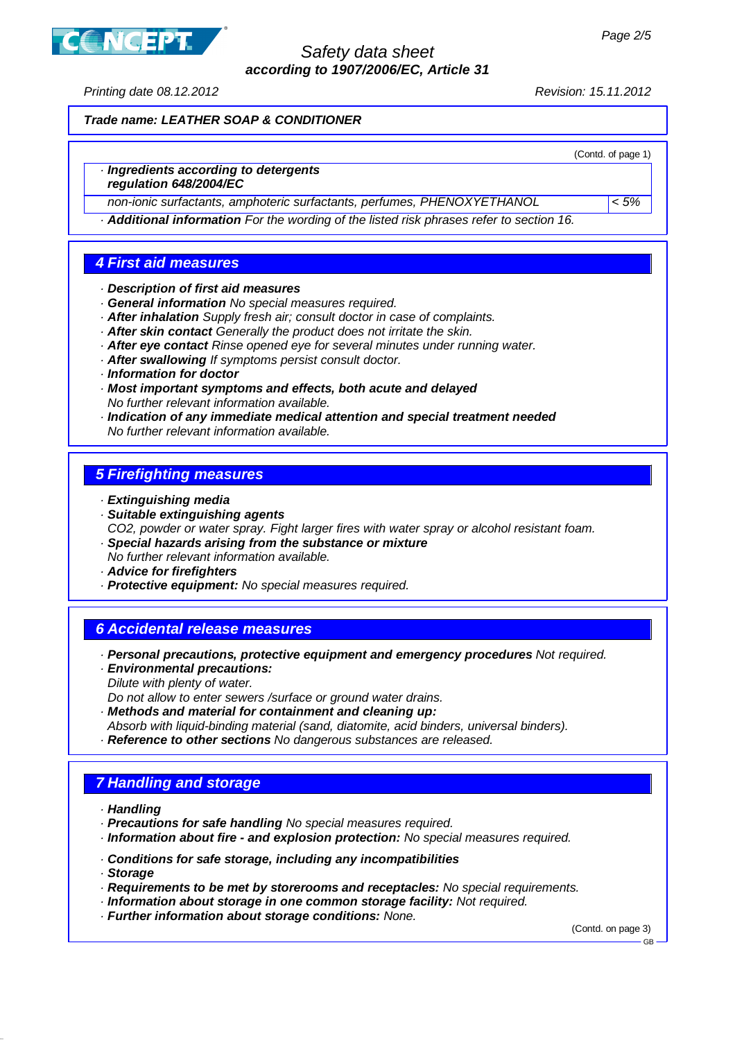ICEPT

## Safety data sheet **according to 1907/2006/EC, Article 31**

Printing date 08.12.2012 Revision: 15.11.2012

**Trade name: LEATHER SOAP & CONDITIONER**

(Contd. of page 1) · **Ingredients according to detergents regulation 648/2004/EC** non-ionic surfactants, amphoteric surfactants, perfumes, PHENOXYETHANOL < 5% · **Additional information** For the wording of the listed risk phrases refer to section 16. **4 First aid measures** · **Description of first aid measures** · **General information** No special measures required. · **After inhalation** Supply fresh air; consult doctor in case of complaints. · **After skin contact** Generally the product does not irritate the skin. · **After eye contact** Rinse opened eye for several minutes under running water. · **After swallowing** If symptoms persist consult doctor. · **Information for doctor** · **Most important symptoms and effects, both acute and delayed** No further relevant information available. · **Indication of any immediate medical attention and special treatment needed** No further relevant information available. **5 Firefighting measures** · **Extinguishing media** · **Suitable extinguishing agents** CO2, powder or water spray. Fight larger fires with water spray or alcohol resistant foam. · **Special hazards arising from the substance or mixture** No further relevant information available. · **Advice for firefighters** · **Protective equipment:** No special measures required. **6 Accidental release measures** · **Personal precautions, protective equipment and emergency procedures** Not required. · **Environmental precautions:** Dilute with plenty of water. Do not allow to enter sewers /surface or ground water drains. · **Methods and material for containment and cleaning up:** Absorb with liquid-binding material (sand, diatomite, acid binders, universal binders).

· **Reference to other sections** No dangerous substances are released.

# **7 Handling and storage**

· **Handling**

- · **Precautions for safe handling** No special measures required.
- · **Information about fire and explosion protection:** No special measures required.
- · **Conditions for safe storage, including any incompatibilities**

· **Storage**

- · **Requirements to be met by storerooms and receptacles:** No special requirements.
- · **Information about storage in one common storage facility:** Not required.
- · **Further information about storage conditions:** None.

(Contd. on page 3)

GB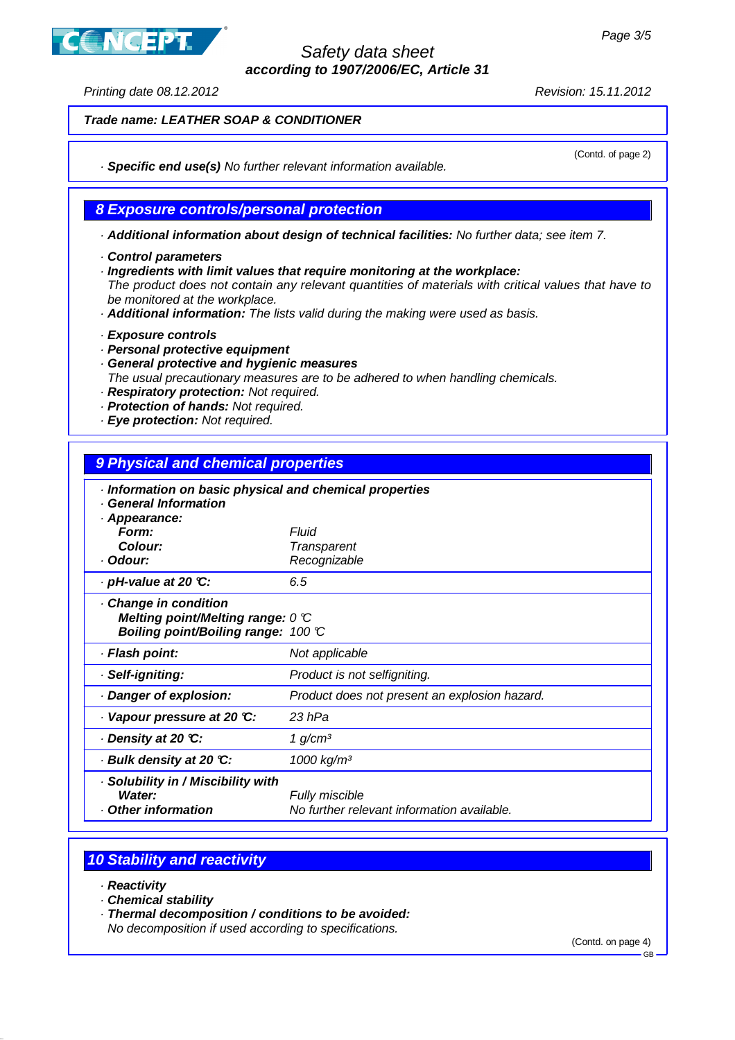**ICEPT** 

## Safety data sheet **according to 1907/2006/EC, Article 31**

Printing date 08.12.2012 **Printing** date 08.12.2012

(Contd. of page 2)

**Trade name: LEATHER SOAP & CONDITIONER**

· **Specific end use(s)** No further relevant information available.

## **8 Exposure controls/personal protection**

· **Additional information about design of technical facilities:** No further data; see item 7.

- · **Control parameters**
- · **Ingredients with limit values that require monitoring at the workplace:**

The product does not contain any relevant quantities of materials with critical values that have to be monitored at the workplace.

- · **Additional information:** The lists valid during the making were used as basis.
- · **Exposure controls**
- · **Personal protective equipment**
- · **General protective and hygienic measures**

The usual precautionary measures are to be adhered to when handling chemicals.

- · **Respiratory protection:** Not required.
- · **Protection of hands:** Not required.
- · **Eye protection:** Not required.

## **9 Physical and chemical properties**

| Information on basic physical and chemical properties<br><b>General Information</b>                          |                                                                     |
|--------------------------------------------------------------------------------------------------------------|---------------------------------------------------------------------|
| · Appearance:<br>Form:                                                                                       | Fluid                                                               |
| Colour:                                                                                                      | <b>Transparent</b>                                                  |
| · Odour:                                                                                                     | Recognizable                                                        |
| $\cdot$ pH-value at 20 °C:                                                                                   | 6.5                                                                 |
| Change in condition<br>Melting point/Melting range: $0 \, \mathbb{C}$<br>Boiling point/Boiling range: 100 °C |                                                                     |
| · Flash point:                                                                                               | Not applicable                                                      |
| · Self-igniting:                                                                                             | Product is not selfigniting.                                        |
| Danger of explosion:                                                                                         | Product does not present an explosion hazard.                       |
| Vapour pressure at 20 °C:                                                                                    | 23 hPa                                                              |
| ⋅ Density at 20 ℃:                                                                                           | 1 g/cm <sup>3</sup>                                                 |
| · Bulk density at 20 °C:                                                                                     | 1000 kg/m <sup>3</sup>                                              |
| · Solubility in / Miscibility with<br>Water:<br><b>Other information</b>                                     | <b>Fully miscible</b><br>No further relevant information available. |

# **10 Stability and reactivity**

- · **Reactivity**
- · **Chemical stability**
- · **Thermal decomposition / conditions to be avoided:**

No decomposition if used according to specifications.

(Contd. on page 4)

GB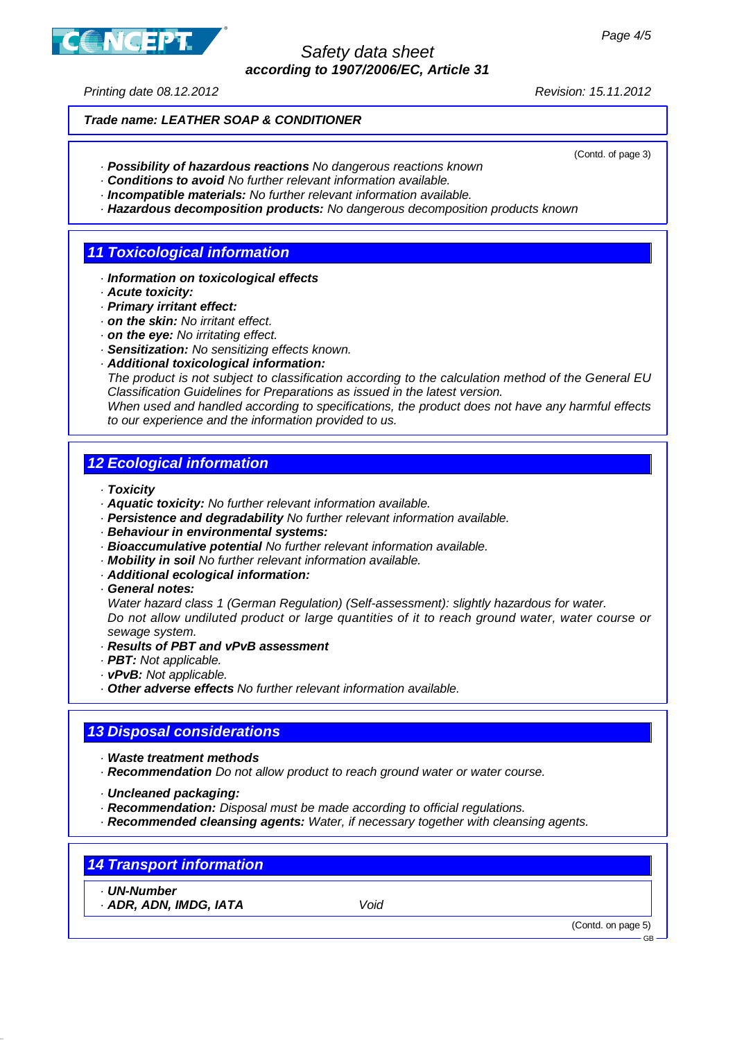Safety data sheet **according to 1907/2006/EC, Article 31**

Printing date 08.12.2012 Revision: 15.11.2012

**NCEPT** 

(Contd. of page 3)

#### **Trade name: LEATHER SOAP & CONDITIONER**

- · **Possibility of hazardous reactions** No dangerous reactions known
- · **Conditions to avoid** No further relevant information available.
- · **Incompatible materials:** No further relevant information available.
- · **Hazardous decomposition products:** No dangerous decomposition products known

## **11 Toxicological information**

- · **Information on toxicological effects**
- · **Acute toxicity:**
- · **Primary irritant effect:**
- · **on the skin:** No irritant effect.
- · **on the eye:** No irritating effect.
- · **Sensitization:** No sensitizing effects known.
- · **Additional toxicological information:**

The product is not subject to classification according to the calculation method of the General EU Classification Guidelines for Preparations as issued in the latest version.

When used and handled according to specifications, the product does not have any harmful effects to our experience and the information provided to us.

#### **12 Ecological information**

· **Toxicity**

- · **Aquatic toxicity:** No further relevant information available.
- · **Persistence and degradability** No further relevant information available.
- · **Behaviour in environmental systems:**
- · **Bioaccumulative potential** No further relevant information available.
- · **Mobility in soil** No further relevant information available.
- · **Additional ecological information:**

#### · **General notes:**

Water hazard class 1 (German Regulation) (Self-assessment): slightly hazardous for water. Do not allow undiluted product or large quantities of it to reach ground water, water course or sewage system.

- · **Results of PBT and vPvB assessment**
- · **PBT:** Not applicable.
- · **vPvB:** Not applicable.

· **Other adverse effects** No further relevant information available.

#### **13 Disposal considerations**

· **Waste treatment methods**

- · **Recommendation** Do not allow product to reach ground water or water course.
- · **Uncleaned packaging:**
- · **Recommendation:** Disposal must be made according to official regulations.
- · **Recommended cleansing agents:** Water, if necessary together with cleansing agents.

#### **14 Transport information**

· **UN-Number**

· **ADR, ADN, IMDG, IATA** Void

(Contd. on page 5)

GB